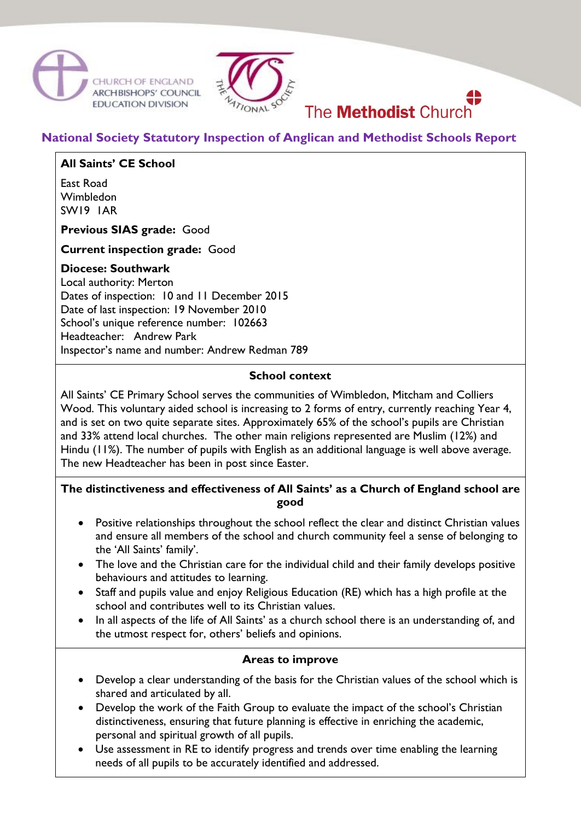



# The **Methodist** Church

## **National Society Statutory Inspection of Anglican and Methodist Schools Report**

## **All Saints' CE School**

East Road Wimbledon SW19 1AR

**Previous SIAS grade:** Good

**Current inspection grade:** Good

### **Diocese: Southwark**

Local authority: Merton Dates of inspection: 10 and 11 December 2015 Date of last inspection: 19 November 2010 School's unique reference number: 102663 Headteacher: Andrew Park Inspector's name and number: Andrew Redman 789

### **School context**

All Saints' CE Primary School serves the communities of Wimbledon, Mitcham and Colliers Wood. This voluntary aided school is increasing to 2 forms of entry, currently reaching Year 4, and is set on two quite separate sites. Approximately 65% of the school's pupils are Christian and 33% attend local churches. The other main religions represented are Muslim (12%) and Hindu (11%). The number of pupils with English as an additional language is well above average. The new Headteacher has been in post since Easter.

## **The distinctiveness and effectiveness of All Saints' as a Church of England school are good**

- Positive relationships throughout the school reflect the clear and distinct Christian values and ensure all members of the school and church community feel a sense of belonging to the 'All Saints' family'.
- The love and the Christian care for the individual child and their family develops positive behaviours and attitudes to learning.
- Staff and pupils value and enjoy Religious Education (RE) which has a high profile at the school and contributes well to its Christian values.
- In all aspects of the life of All Saints' as a church school there is an understanding of, and the utmost respect for, others' beliefs and opinions.

## **Areas to improve**

- Develop a clear understanding of the basis for the Christian values of the school which is shared and articulated by all.
- Develop the work of the Faith Group to evaluate the impact of the school's Christian distinctiveness, ensuring that future planning is effective in enriching the academic, personal and spiritual growth of all pupils.
- Use assessment in RE to identify progress and trends over time enabling the learning needs of all pupils to be accurately identified and addressed.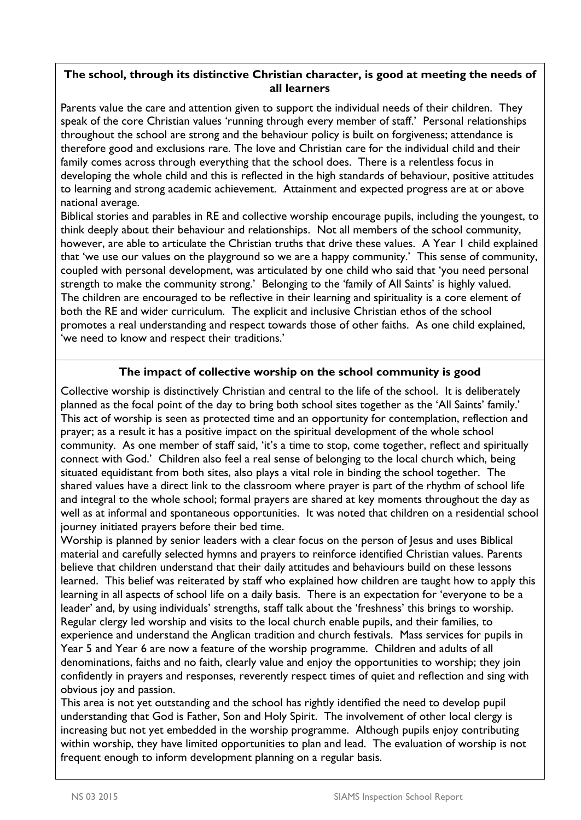## **The school, through its distinctive Christian character, is good at meeting the needs of all learners**

Parents value the care and attention given to support the individual needs of their children. They speak of the core Christian values 'running through every member of staff.' Personal relationships throughout the school are strong and the behaviour policy is built on forgiveness; attendance is therefore good and exclusions rare. The love and Christian care for the individual child and their family comes across through everything that the school does. There is a relentless focus in developing the whole child and this is reflected in the high standards of behaviour, positive attitudes to learning and strong academic achievement. Attainment and expected progress are at or above national average.

Biblical stories and parables in RE and collective worship encourage pupils, including the youngest, to think deeply about their behaviour and relationships. Not all members of the school community, however, are able to articulate the Christian truths that drive these values. A Year 1 child explained that 'we use our values on the playground so we are a happy community.' This sense of community, coupled with personal development, was articulated by one child who said that 'you need personal strength to make the community strong.' Belonging to the 'family of All Saints' is highly valued. The children are encouraged to be reflective in their learning and spirituality is a core element of both the RE and wider curriculum. The explicit and inclusive Christian ethos of the school promotes a real understanding and respect towards those of other faiths. As one child explained, 'we need to know and respect their traditions.'

## **The impact of collective worship on the school community is good**

Collective worship is distinctively Christian and central to the life of the school. It is deliberately planned as the focal point of the day to bring both school sites together as the 'All Saints' family.' This act of worship is seen as protected time and an opportunity for contemplation, reflection and prayer; as a result it has a positive impact on the spiritual development of the whole school community. As one member of staff said, 'it's a time to stop, come together, reflect and spiritually connect with God.' Children also feel a real sense of belonging to the local church which, being situated equidistant from both sites, also plays a vital role in binding the school together. The shared values have a direct link to the classroom where prayer is part of the rhythm of school life and integral to the whole school; formal prayers are shared at key moments throughout the day as well as at informal and spontaneous opportunities. It was noted that children on a residential school journey initiated prayers before their bed time.

Worship is planned by senior leaders with a clear focus on the person of Jesus and uses Biblical material and carefully selected hymns and prayers to reinforce identified Christian values. Parents believe that children understand that their daily attitudes and behaviours build on these lessons learned. This belief was reiterated by staff who explained how children are taught how to apply this learning in all aspects of school life on a daily basis. There is an expectation for 'everyone to be a leader' and, by using individuals' strengths, staff talk about the 'freshness' this brings to worship. Regular clergy led worship and visits to the local church enable pupils, and their families, to experience and understand the Anglican tradition and church festivals. Mass services for pupils in Year 5 and Year 6 are now a feature of the worship programme. Children and adults of all denominations, faiths and no faith, clearly value and enjoy the opportunities to worship; they join confidently in prayers and responses, reverently respect times of quiet and reflection and sing with obvious joy and passion.

This area is not yet outstanding and the school has rightly identified the need to develop pupil understanding that God is Father, Son and Holy Spirit. The involvement of other local clergy is increasing but not yet embedded in the worship programme. Although pupils enjoy contributing within worship, they have limited opportunities to plan and lead. The evaluation of worship is not frequent enough to inform development planning on a regular basis.